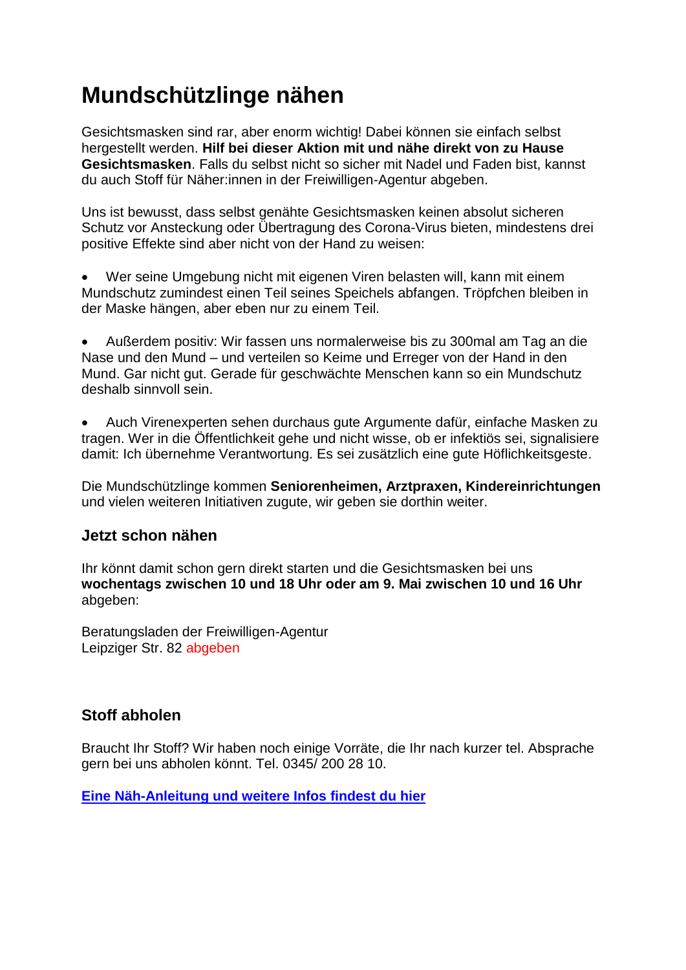# **Mundschützlinge nähen**

Gesichtsmasken sind rar, aber enorm wichtig! Dabei können sie einfach selbst hergestellt werden. **Hilf bei dieser Aktion mit und nähe direkt von zu Hause Gesichtsmasken**. Falls du selbst nicht so sicher mit Nadel und Faden bist, kannst du auch Stoff für Näher:innen in der Freiwilligen-Agentur abgeben.

Uns ist bewusst, dass selbst genähte Gesichtsmasken keinen absolut sicheren Schutz vor Ansteckung oder Übertragung des Corona-Virus bieten, mindestens drei positive Effekte sind aber nicht von der Hand zu weisen:

 Wer seine Umgebung nicht mit eigenen Viren belasten will, kann mit einem Mundschutz zumindest einen Teil seines Speichels abfangen. Tröpfchen bleiben in der Maske hängen, aber eben nur zu einem Teil.

 Außerdem positiv: Wir fassen uns normalerweise bis zu 300mal am Tag an die Nase und den Mund – und verteilen so Keime und Erreger von der Hand in den Mund. Gar nicht gut. Gerade für geschwächte Menschen kann so ein Mundschutz deshalb sinnvoll sein.

 Auch Virenexperten sehen durchaus gute Argumente dafür, einfache Masken zu tragen. Wer in die Öffentlichkeit gehe und nicht wisse, ob er infektiös sei, signalisiere damit: Ich übernehme Verantwortung. Es sei zusätzlich eine gute Höflichkeitsgeste.

Die Mundschützlinge kommen **Seniorenheimen, Arztpraxen, Kindereinrichtungen** und vielen weiteren Initiativen zugute, wir geben sie dorthin weiter.

## **Jetzt schon nähen**

Ihr könnt damit schon gern direkt starten und die Gesichtsmasken bei uns **wochentags zwischen 10 und 18 Uhr oder am 9. Mai zwischen 10 und 16 Uhr** abgeben:

Beratungsladen der Freiwilligen-Agentur Leipziger Str. 82 abgeben

## **Stoff abholen**

Braucht Ihr Stoff? Wir haben noch einige Vorräte, die Ihr nach kurzer tel. Absprache gern bei uns abholen könnt. Tel. 0345/ 200 28 10.

**[Eine Näh-Anleitung und weitere Infos findest du hier](https://engagiert-in-halle.de/aktuelles/mundschuetzlinge-wer-naeht-mit)**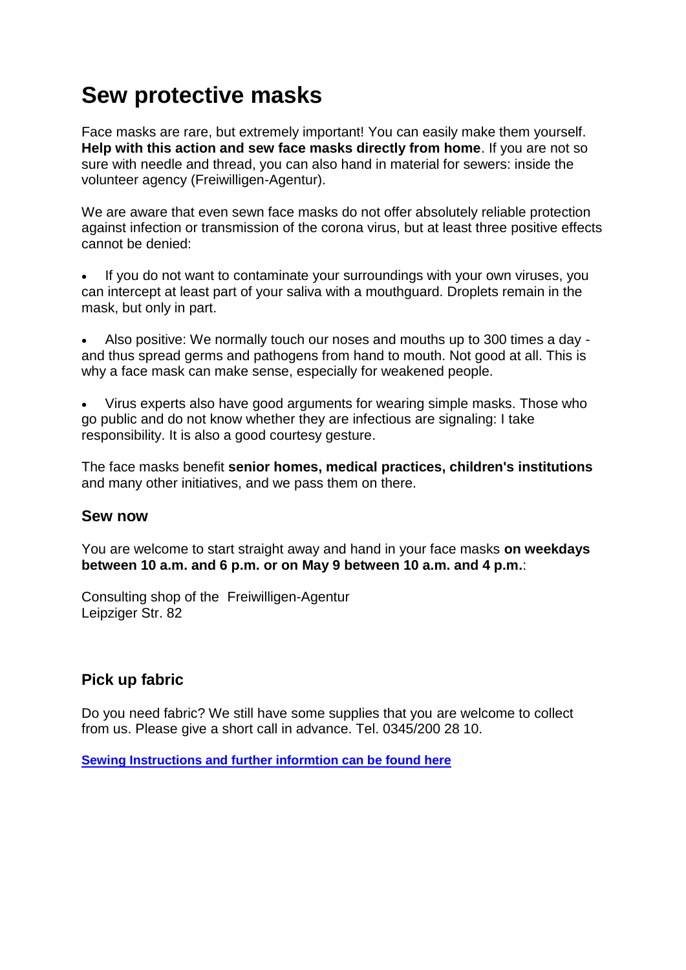## **Sew protective masks**

Face masks are rare, but extremely important! You can easily make them yourself. **Help with this action and sew face masks directly from home**. If you are not so sure with needle and thread, you can also hand in material for sewers: inside the volunteer agency (Freiwilligen-Agentur).

We are aware that even sewn face masks do not offer absolutely reliable protection against infection or transmission of the corona virus, but at least three positive effects cannot be denied:

 If you do not want to contaminate your surroundings with your own viruses, you can intercept at least part of your saliva with a mouthguard. Droplets remain in the mask, but only in part.

 Also positive: We normally touch our noses and mouths up to 300 times a day and thus spread germs and pathogens from hand to mouth. Not good at all. This is why a face mask can make sense, especially for weakened people.

 Virus experts also have good arguments for wearing simple masks. Those who go public and do not know whether they are infectious are signaling: I take responsibility. It is also a good courtesy gesture.

The face masks benefit **senior homes, medical practices, children's institutions** and many other initiatives, and we pass them on there.

### **Sew now**

You are welcome to start straight away and hand in your face masks **on weekdays between 10 a.m. and 6 p.m. or on May 9 between 10 a.m. and 4 p.m.**:

Consulting shop of the Freiwilligen-Agentur Leipziger Str. 82

## **Pick up fabric**

Do you need fabric? We still have some supplies that you are welcome to collect from us. Please give a short call in advance. Tel. 0345/200 28 10.

**[Sewing Instructions and further informtion can be found here](https://engagiert-in-halle.de/aktuelles/mundschuetzlinge-wer-naeht-mit)**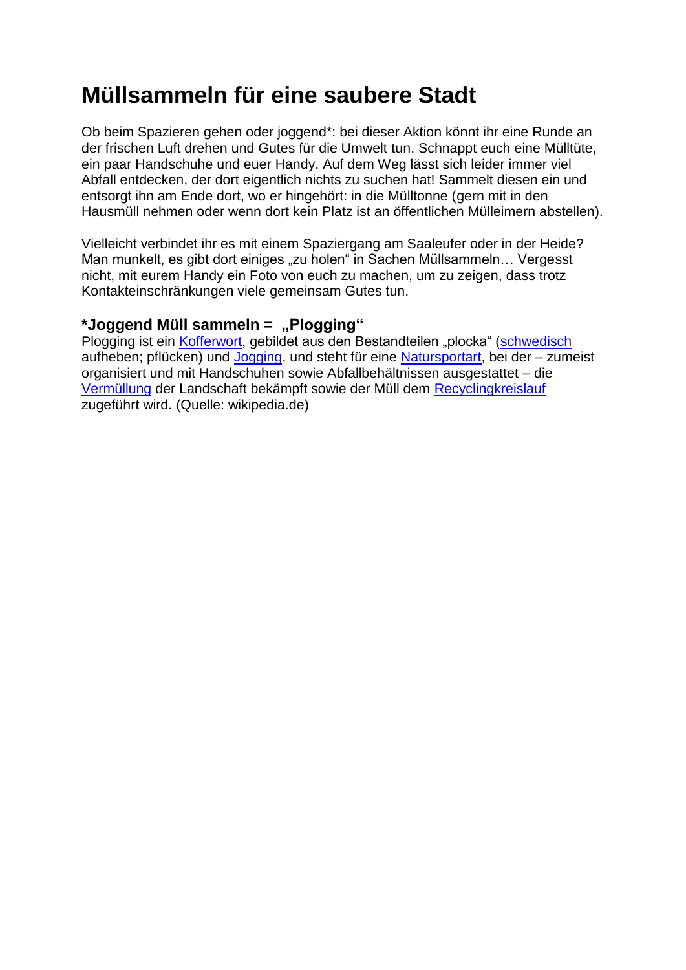## **Müllsammeln für eine saubere Stadt**

Ob beim Spazieren gehen oder joggend\*: bei dieser Aktion könnt ihr eine Runde an der frischen Luft drehen und Gutes für die Umwelt tun. Schnappt euch eine Mülltüte, ein paar Handschuhe und euer Handy. Auf dem Weg lässt sich leider immer viel Abfall entdecken, der dort eigentlich nichts zu suchen hat! Sammelt diesen ein und entsorgt ihn am Ende dort, wo er hingehört: in die Mülltonne (gern mit in den Hausmüll nehmen oder wenn dort kein Platz ist an öffentlichen Mülleimern abstellen).

Vielleicht verbindet ihr es mit einem Spaziergang am Saaleufer oder in der Heide? Man munkelt, es gibt dort einiges "zu holen" in Sachen Müllsammeln... Vergesst nicht, mit eurem Handy ein Foto von euch zu machen, um zu zeigen, dass trotz Kontakteinschränkungen viele gemeinsam Gutes tun.

### **\*Joggend Müll sammeln = "Plogging"**

Plogging ist ein [Kofferwort,](https://de.wikipedia.org/wiki/Kofferwort) gebildet aus den Bestandteilen "plocka" [\(schwedisch](https://de.wikipedia.org/wiki/Schwedische_Sprache) aufheben; pflücken) und [Jogging,](https://de.wikipedia.org/wiki/Jogging) und steht für eine [Natursportart,](https://de.wikipedia.org/wiki/Natursport) bei der – zumeist organisiert und mit Handschuhen sowie Abfallbehältnissen ausgestattet – die [Vermüllung](https://de.wikipedia.org/wiki/Verm%C3%BCllung) der Landschaft bekämpft sowie der Müll dem [Recyclingkreislauf](https://de.wikipedia.org/wiki/Recyclingkreislauf) zugeführt wird. (Quelle: wikipedia.de)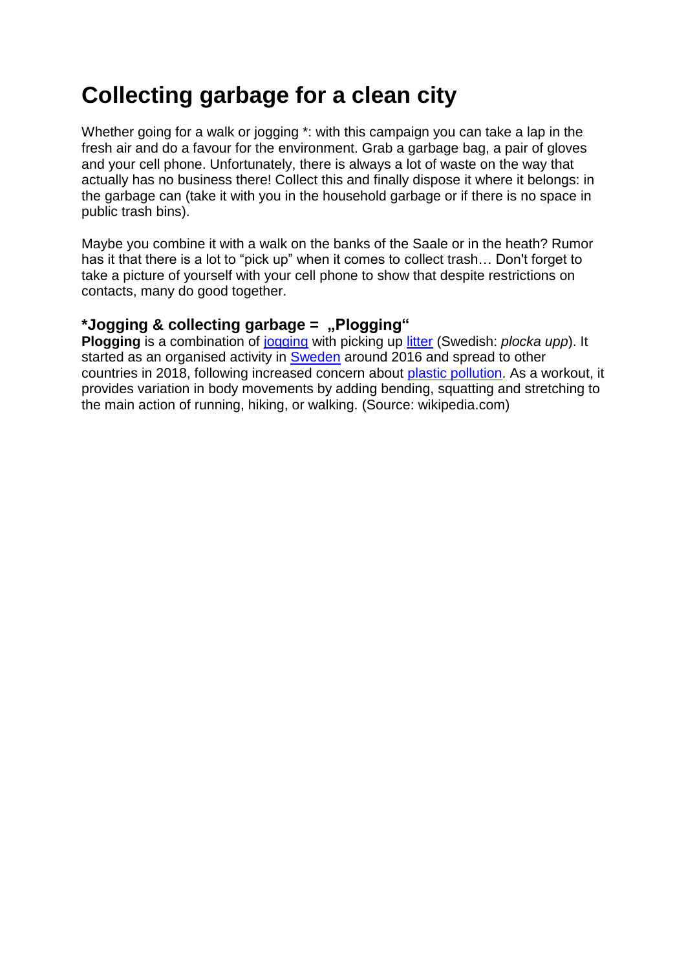## **Collecting garbage for a clean city**

Whether going for a walk or jogging \*: with this campaign you can take a lap in the fresh air and do a favour for the environment. Grab a garbage bag, a pair of gloves and your cell phone. Unfortunately, there is always a lot of waste on the way that actually has no business there! Collect this and finally dispose it where it belongs: in the garbage can (take it with you in the household garbage or if there is no space in public trash bins).

Maybe you combine it with a walk on the banks of the Saale or in the heath? Rumor has it that there is a lot to "pick up" when it comes to collect trash… Don't forget to take a picture of yourself with your cell phone to show that despite restrictions on contacts, many do good together.

### **\*Jogging & collecting garbage = "Plogging"**

**Plogging** is a combination of [jogging](https://en.wikipedia.org/wiki/Jogging) with picking up [litter](https://en.wikipedia.org/wiki/Litter) (Swedish: *plocka upp*). It started as an organised activity in [Sweden](https://en.wikipedia.org/wiki/Sweden) around 2016 and spread to other countries in 2018, following increased concern about [plastic pollution.](https://en.wikipedia.org/wiki/Plastic_pollution) As a workout, it provides variation in body movements by adding bending, squatting and stretching to the main action of running, hiking, or walking. (Source: wikipedia.com)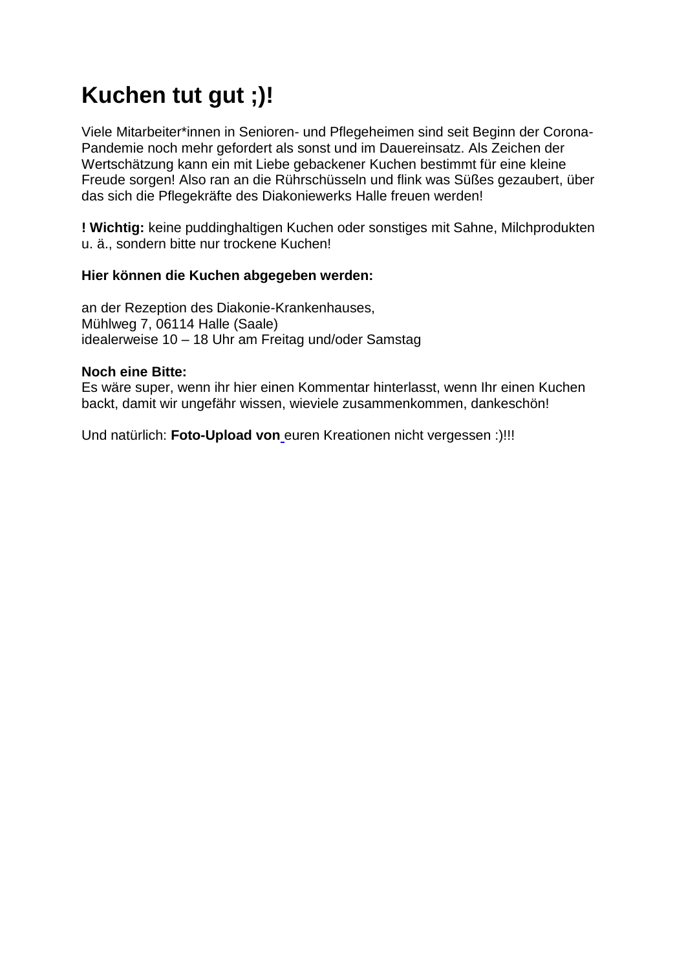# **Kuchen tut gut ;)!**

Viele Mitarbeiter\*innen in Senioren- und Pflegeheimen sind seit Beginn der Corona-Pandemie noch mehr gefordert als sonst und im Dauereinsatz. Als Zeichen der Wertschätzung kann ein mit Liebe gebackener Kuchen bestimmt für eine kleine Freude sorgen! Also ran an die Rührschüsseln und flink was Süßes gezaubert, über das sich die Pflegekräfte des Diakoniewerks Halle freuen werden!

**! Wichtig:** keine puddinghaltigen Kuchen oder sonstiges mit Sahne, Milchprodukten u. ä., sondern bitte nur trockene Kuchen!

### **Hier können die Kuchen abgegeben werden:**

an der Rezeption des Diakonie-Krankenhauses, Mühlweg 7, 06114 Halle (Saale) idealerweise 10 – 18 Uhr am Freitag und/oder Samstag

#### **Noch eine Bitte:**

Es wäre super, wenn ihr hier einen Kommentar hinterlasst, wenn Ihr einen Kuchen backt, damit wir ungefähr wissen, wieviele zusammenkommen, dankeschön!

Und natürlich: **[Foto-Upload von](https://www.freiwilligentag-halle.de/foto-upload-2/)** euren Kreationen nicht vergessen :)!!!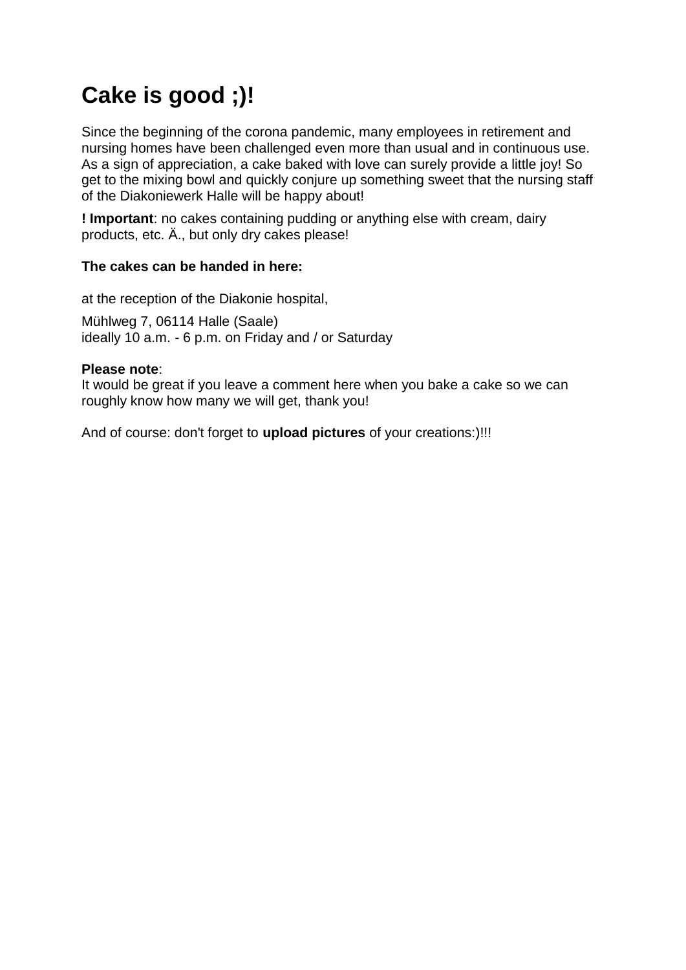# **Cake is good ;)!**

Since the beginning of the corona pandemic, many employees in retirement and nursing homes have been challenged even more than usual and in continuous use. As a sign of appreciation, a cake baked with love can surely provide a little joy! So get to the mixing bowl and quickly conjure up something sweet that the nursing staff of the Diakoniewerk Halle will be happy about!

**! Important**: no cakes containing pudding or anything else with cream, dairy products, etc. Ä., but only dry cakes please!

### **The cakes can be handed in here:**

at the reception of the Diakonie hospital,

Mühlweg 7, 06114 Halle (Saale) ideally 10 a.m. - 6 p.m. on Friday and / or Saturday

#### **Please note**:

It would be great if you leave a comment here when you bake a cake so we can roughly know how many we will get, thank you!

And of course: don't forget to **upload pictures** of your creations:)!!!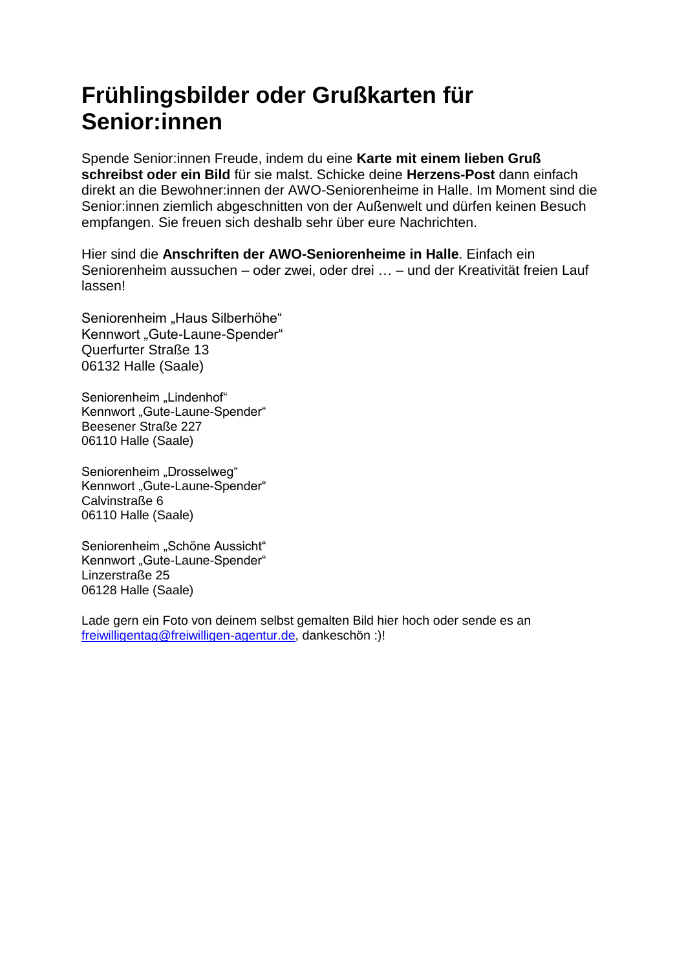# **Frühlingsbilder oder Grußkarten für Senior:innen**

Spende Senior:innen Freude, indem du eine **Karte mit einem lieben Gruß schreibst oder ein Bild** für sie malst. Schicke deine **Herzens-Post** dann einfach direkt an die Bewohner:innen der AWO-Seniorenheime in Halle. Im Moment sind die Senior:innen ziemlich abgeschnitten von der Außenwelt und dürfen keinen Besuch empfangen. Sie freuen sich deshalb sehr über eure Nachrichten.

Hier sind die **Anschriften der AWO-Seniorenheime in Halle**. Einfach ein Seniorenheim aussuchen – oder zwei, oder drei … – und der Kreativität freien Lauf lassen!

Seniorenheim "Haus Silberhöhe" Kennwort "Gute-Laune-Spender" Querfurter Straße 13 06132 Halle (Saale)

Seniorenheim "Lindenhof" Kennwort "Gute-Laune-Spender" Beesener Straße 227 06110 Halle (Saale)

Seniorenheim "Drosselweg" Kennwort "Gute-Laune-Spender" Calvinstraße 6 06110 Halle (Saale)

Seniorenheim "Schöne Aussicht" Kennwort "Gute-Laune-Spender" Linzerstraße 25 06128 Halle (Saale)

Lade gern ein Foto von deinem selbst gemalten Bild hier hoch oder sende es an [freiwilligentag@freiwilligen-agentur.de,](mailto:freiwilligentag@freiwilligen-agentur.de) dankeschön :)!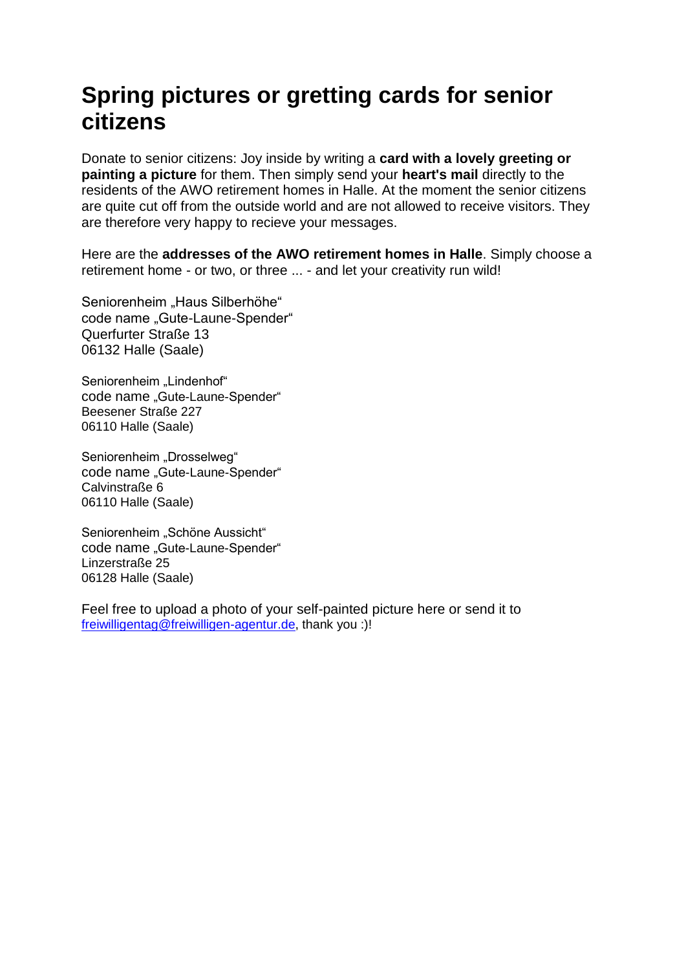# **Spring pictures or gretting cards for senior citizens**

Donate to senior citizens: Joy inside by writing a **card with a lovely greeting or painting a picture** for them. Then simply send your **heart's mail** directly to the residents of the AWO retirement homes in Halle. At the moment the senior citizens are quite cut off from the outside world and are not allowed to receive visitors. They are therefore very happy to recieve your messages.

Here are the **addresses of the AWO retirement homes in Halle**. Simply choose a retirement home - or two, or three ... - and let your creativity run wild!

Seniorenheim "Haus Silberhöhe" code name "Gute-Laune-Spender" Querfurter Straße 13 06132 Halle (Saale)

Seniorenheim "Lindenhof" code name "Gute-Laune-Spender" Beesener Straße 227 06110 Halle (Saale)

Seniorenheim "Drosselweg" code name "Gute-Laune-Spender" Calvinstraße 6 06110 Halle (Saale)

Seniorenheim "Schöne Aussicht" code name "Gute-Laune-Spender" Linzerstraße 25 06128 Halle (Saale)

Feel free to upload a photo of your self-painted picture here or send it to [freiwilligentag@freiwilligen-agentur.de,](mailto:freiwilligentag@freiwilligen-agentur.de) thank you :)!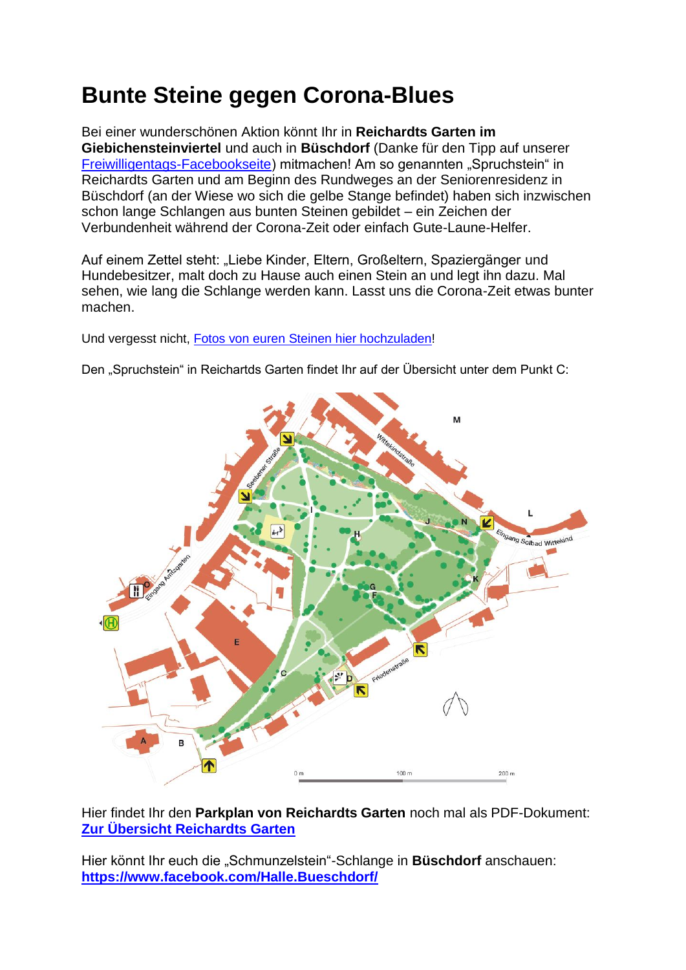# **Bunte Steine gegen Corona-Blues**

Bei einer wunderschönen Aktion könnt Ihr in **Reichardts Garten im Giebichensteinviertel** und auch in **Büschdorf** (Danke für den Tipp auf unserer [Freiwilligentags-Facebookseite\)](https://www.facebook.com/pg/Freiwilligentag-Halle-748586651918274/posts/?ref=page_internal) mitmachen! Am so genannten "Spruchstein" in Reichardts Garten und am Beginn des Rundweges an der Seniorenresidenz in Büschdorf (an der Wiese wo sich die gelbe Stange befindet) haben sich inzwischen schon lange Schlangen aus bunten Steinen gebildet – ein Zeichen der Verbundenheit während der Corona-Zeit oder einfach Gute-Laune-Helfer.

Auf einem Zettel steht: "Liebe Kinder, Eltern, Großeltern, Spaziergänger und Hundebesitzer, malt doch zu Hause auch einen Stein an und legt ihn dazu. Mal sehen, wie lang die Schlange werden kann. Lasst uns die Corona-Zeit etwas bunter machen.

Und vergesst nicht, [Fotos von euren Steinen hier hochzuladen!](https://www.freiwilligentag-halle.de/foto-upload-2/)

Den "Spruchstein" in Reichartds Garten findet Ihr auf der Übersicht unter dem Punkt C:



Hier findet Ihr den **Parkplan von Reichardts Garten** noch mal als PDF-Dokument: **[Zur Übersicht Reichardts Garten](https://gartentraeume-sachsen-anhalt.de/visioncontent/mediendatenbank/35_reichardts_garten_halle_parkplan.pdf)**

Hier könnt Ihr euch die "Schmunzelstein"-Schlange in **Büschdorf** anschauen: **[https://www.facebook.com/Halle.Bueschdorf/](https://www.facebook.com/Halle.Bueschdorf/?hc_location=ufi)**